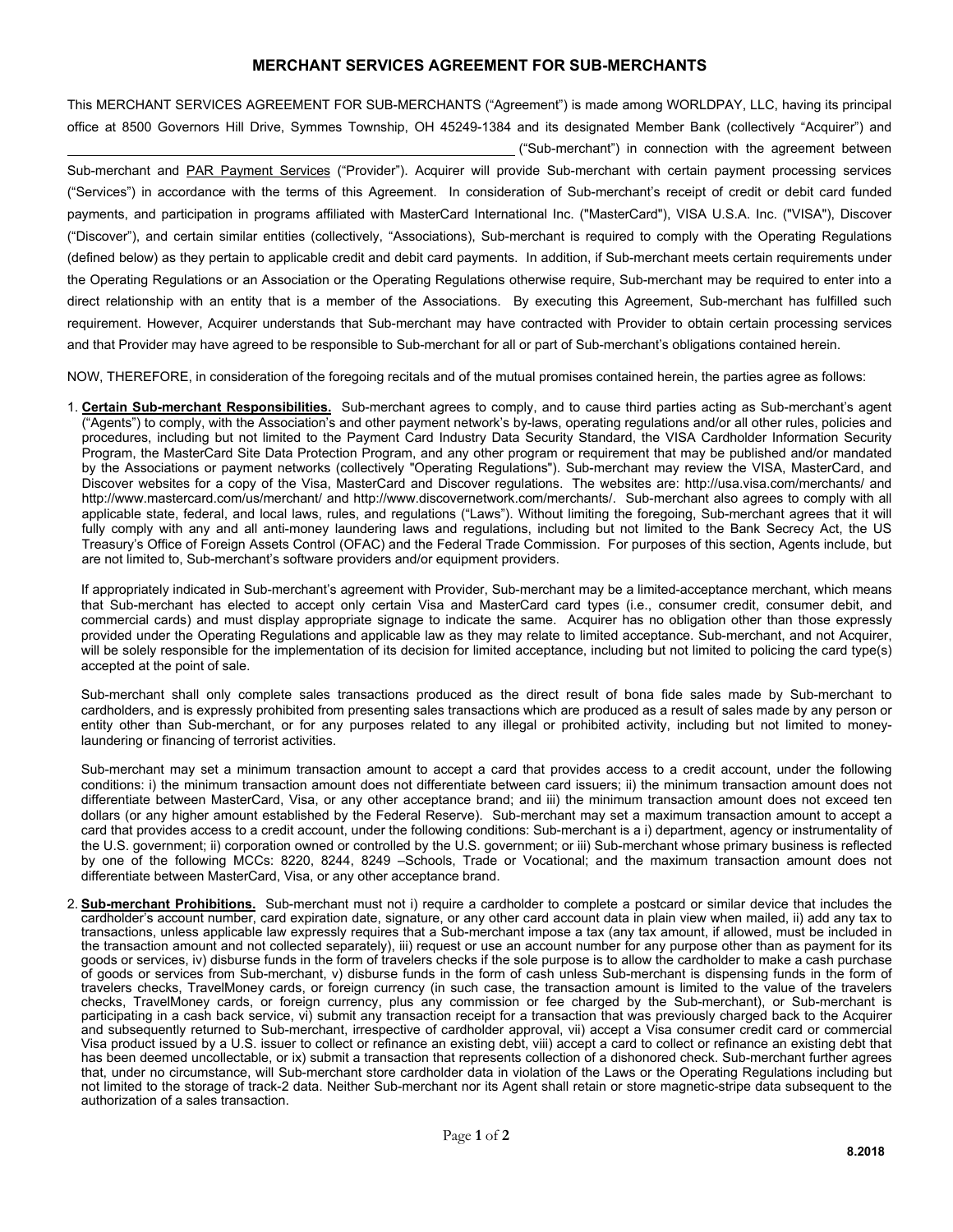## **MERCHANT SERVICES AGREEMENT FOR SUB-MERCHANTS**

This MERCHANT SERVICES AGREEMENT FOR SUB-MERCHANTS ("Agreement") is made among WORLDPAY, LLC, having its principal office at 8500 Governors Hill Drive, Symmes Township, OH 45249-1384 and its designated Member Bank (collectively "Acquirer") and ("Sub-merchant") in connection with the agreement between

Sub-merchant and PAR Payment Services ("Provider"). Acquirer will provide Sub-merchant with certain payment processing services ("Services") in accordance with the terms of this Agreement. In consideration of Sub-merchant's receipt of credit or debit card funded payments, and participation in programs affiliated with MasterCard International Inc. ("MasterCard"), VISA U.S.A. Inc. ("VISA"), Discover ("Discover"), and certain similar entities (collectively, "Associations), Sub-merchant is required to comply with the Operating Regulations (defined below) as they pertain to applicable credit and debit card payments. In addition, if Sub-merchant meets certain requirements under the Operating Regulations or an Association or the Operating Regulations otherwise require, Sub-merchant may be required to enter into a direct relationship with an entity that is a member of the Associations. By executing this Agreement, Sub-merchant has fulfilled such requirement. However, Acquirer understands that Sub-merchant may have contracted with Provider to obtain certain processing services and that Provider may have agreed to be responsible to Sub-merchant for all or part of Sub-merchant's obligations contained herein.

NOW, THEREFORE, in consideration of the foregoing recitals and of the mutual promises contained herein, the parties agree as follows:

1. **Certain Sub-merchant Responsibilities.** Sub-merchant agrees to comply, and to cause third parties acting as Sub-merchant's agent ("Agents") to comply, with the Association's and other payment network's by-laws, operating regulations and/or all other rules, policies and procedures, including but not limited to the Payment Card Industry Data Security Standard, the VISA Cardholder Information Security Program, the MasterCard Site Data Protection Program, and any other program or requirement that may be published and/or mandated by the Associations or payment networks (collectively "Operating Regulations"). Sub-merchant may review the VISA, MasterCard, and Discover websites for a copy of the Visa, MasterCard and Discover regulations. The websites are: http://usa.visa.com/merchants/ and http://www.mastercard.com/us/merchant/ and http://www.discovernetwork.com/merchants/. Sub-merchant also agrees to comply with all applicable state, federal, and local laws, rules, and regulations ("Laws"). Without limiting the foregoing, Sub-merchant agrees that it will fully comply with any and all anti-money laundering laws and regulations, including but not limited to the Bank Secrecy Act, the US Treasury's Office of Foreign Assets Control (OFAC) and the Federal Trade Commission. For purposes of this section, Agents include, but are not limited to, Sub-merchant's software providers and/or equipment providers.

If appropriately indicated in Sub-merchant's agreement with Provider, Sub-merchant may be a limited-acceptance merchant, which means that Sub-merchant has elected to accept only certain Visa and MasterCard card types (i.e., consumer credit, consumer debit, and commercial cards) and must display appropriate signage to indicate the same. Acquirer has no obligation other than those expressly provided under the Operating Regulations and applicable law as they may relate to limited acceptance. Sub-merchant, and not Acquirer, will be solely responsible for the implementation of its decision for limited acceptance, including but not limited to policing the card type(s) accepted at the point of sale.

Sub-merchant shall only complete sales transactions produced as the direct result of bona fide sales made by Sub-merchant to cardholders, and is expressly prohibited from presenting sales transactions which are produced as a result of sales made by any person or entity other than Sub-merchant, or for any purposes related to any illegal or prohibited activity, including but not limited to moneylaundering or financing of terrorist activities.

Sub-merchant may set a minimum transaction amount to accept a card that provides access to a credit account, under the following conditions: i) the minimum transaction amount does not differentiate between card issuers; ii) the minimum transaction amount does not differentiate between MasterCard, Visa, or any other acceptance brand; and iii) the minimum transaction amount does not exceed ten dollars (or any higher amount established by the Federal Reserve). Sub-merchant may set a maximum transaction amount to accept a card that provides access to a credit account, under the following conditions: Sub-merchant is a i) department, agency or instrumentality of the U.S. government; ii) corporation owned or controlled by the U.S. government; or iii) Sub-merchant whose primary business is reflected by one of the following MCCs: 8220, 8244, 8249 –Schools, Trade or Vocational; and the maximum transaction amount does not differentiate between MasterCard, Visa, or any other acceptance brand.

2. **Sub-merchant Prohibitions.** Sub-merchant must not i) require a cardholder to complete a postcard or similar device that includes the cardholder's account number, card expiration date, signature, or any other card account data in plain view when mailed, ii) add any tax to transactions, unless applicable law expressly requires that a Sub-merchant impose a tax (any tax amount, if allowed, must be included in the transaction amount and not collected separately), iii) request or use an account number for any purpose other than as payment for its goods or services, iv) disburse funds in the form of travelers checks if the sole purpose is to allow the cardholder to make a cash purchase of goods or services from Sub-merchant, v) disburse funds in the form of cash unless Sub-merchant is dispensing funds in the form of travelers checks, TravelMoney cards, or foreign currency (in such case, the transaction amount is limited to the value of the travelers checks, TravelMoney cards, or foreign currency, plus any commission or fee charged by the Sub-merchant), or Sub-merchant is participating in a cash back service, vi) submit any transaction receipt for a transaction that was previously charged back to the Acquirer and subsequently returned to Sub-merchant, irrespective of cardholder approval, vii) accept a Visa consumer credit card or commercial Visa product issued by a U.S. issuer to collect or refinance an existing debt, viii) accept a card to collect or refinance an existing debt that has been deemed uncollectable, or ix) submit a transaction that represents collection of a dishonored check. Sub-merchant further agrees that, under no circumstance, will Sub-merchant store cardholder data in violation of the Laws or the Operating Regulations including but not limited to the storage of track-2 data. Neither Sub-merchant nor its Agent shall retain or store magnetic-stripe data subsequent to the authorization of a sales transaction.